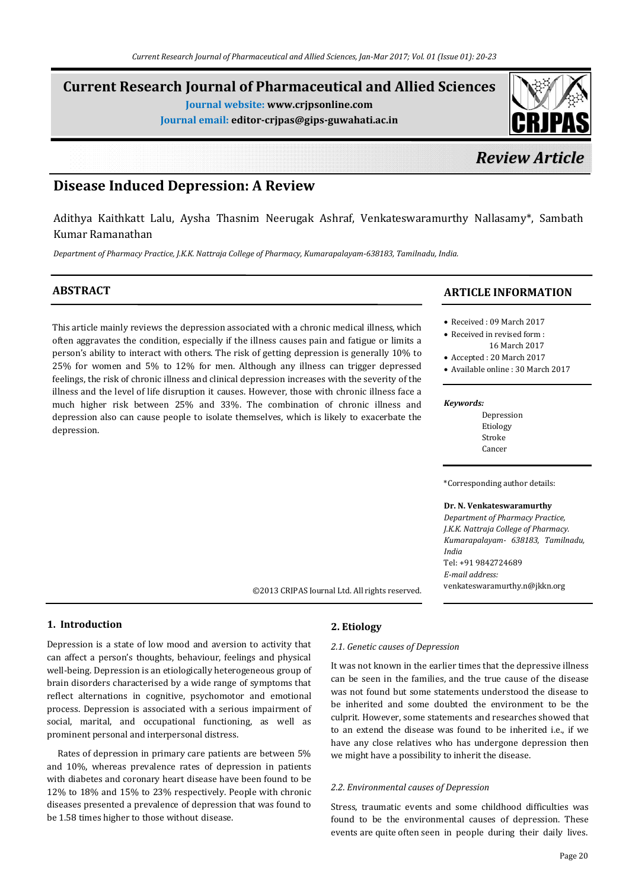# **Current Research Journal of Pharmaceutical and Allied Sciences**

**Journal website: www.crjpsonline.com**

**Journal email: editor-crjpas@gips-guwahati.ac.in**

# *Review Article*

# **Disease Induced Depression: A Review**

Adithya Kaithkatt Lalu, Aysha Thasnim Neerugak Ashraf, Venkateswaramurthy Nallasamy\*, Sambath Kumar Ramanathan

*Department of Pharmacy Practice, J.K.K. Nattraja College of Pharmacy, Kumarapalayam-638183, Tamilnadu, India.*

# **ABSTRACT**

This article mainly reviews the depression associated with a chronic medical illness, which often aggravates the condition, especially if the illness causes pain and fatigue or limits a person's ability to interact with others. The risk of getting depression is generally 10% to 25% for women and 5% to 12% for men. Although any illness can trigger depressed feelings, the risk of chronic illness and clinical depression increases with the severity of the illness and the level of life disruption it causes. However, those with chronic illness face a much higher risk between 25% and 33%. The combination of chronic illness and depression also can cause people to isolate themselves, which is likely to exacerbate the depression.

## **ARTICLE INFORMATION**

- Received : 09 March 2017
- Received in revised form : 16 March 2017
- Accepted : 20 March 2017
- Available online : 30 March 2017

#### *Keywords:*

Depression Etiology Stroke Cancer

\*Corresponding author details:

**Dr. N. Venkateswaramurthy**  *Department of Pharmacy Practice, J.K.K. Nattraja College of Pharmacy. Kumarapalayam- 638183, Tamilnadu, India* Tel: +91 9842724689 *E-mail address:* venkateswaramurthy.n@jkkn.org

**1. Introduction**

Depression is a state of low mood and aversion to activity that can affect a person's thoughts, behaviour, feelings and physical well-being. Depression is an etiologically heterogeneous group of brain disorders characterised by a wide range of symptoms that reflect alternations in cognitive, psychomotor and emotional process. Depression is associated with a serious impairment of social, marital, and occupational functioning, as well as prominent personal and interpersonal distress.

 Rates of depression in primary care patients are between 5% and 10%, whereas prevalence rates of depression in patients with diabetes and coronary heart disease have been found to be 12% to 18% and 15% to 23% respectively. People with chronic diseases presented a prevalence of depression that was found to be 1.58 times higher to those without disease.

## **2. Etiology**

©2013 CRJPAS Journal Ltd. All rights reserved.

#### *2.1. Genetic causes of Depression*

It was not known in the earlier times that the depressive illness can be seen in the families, and the true cause of the disease was not found but some statements understood the disease to be inherited and some doubted the environment to be the culprit. However, some statements and researches showed that to an extend the disease was found to be inherited i.e., if we have any close relatives who has undergone depression then we might have a possibility to inherit the disease.

#### *2.2. Environmental causes of Depression*

Stress, traumatic events and some childhood difficulties was found to be the environmental causes of depression. These events are quite often seen in people during their daily lives.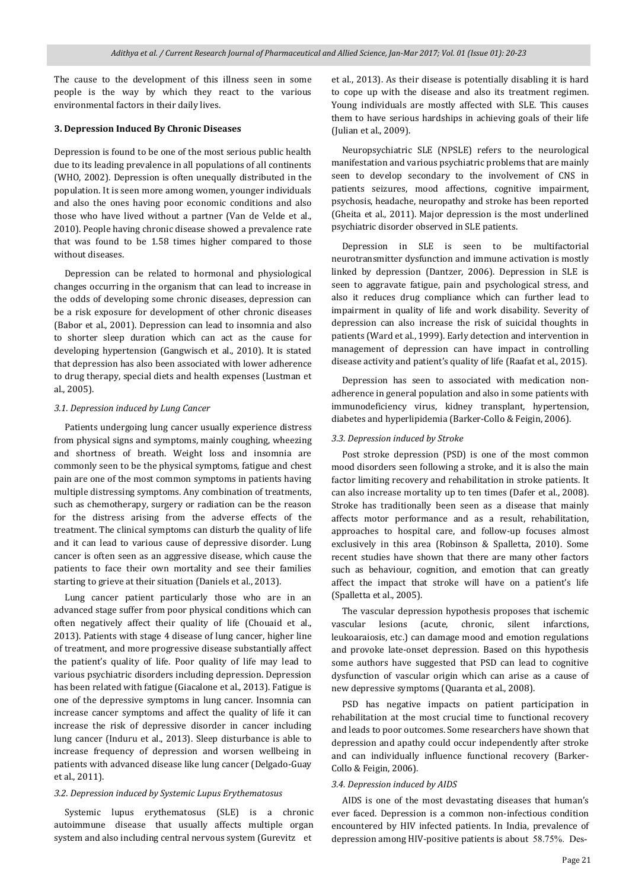The cause to the development of this illness seen in some people is the way by which they react to the various environmental factors in their daily lives.

#### **3. Depression Induced By Chronic Diseases**

Depression is found to be one of the most serious public health due to its leading prevalence in all populations of all continents (WHO, 2002). Depression is often unequally distributed in the population. It is seen more among women, younger individuals and also the ones having poor economic conditions and also those who have lived without a partner (Van de Velde et al., 2010). People having chronic disease showed a prevalence rate that was found to be 1.58 times higher compared to those without diseases.

 Depression can be related to hormonal and physiological changes occurring in the organism that can lead to increase in the odds of developing some chronic diseases, depression can be a risk exposure for development of other chronic diseases (Babor et al., 2001). Depression can lead to insomnia and also to shorter sleep duration which can act as the cause for developing hypertension (Gangwisch et al., 2010). It is stated that depression has also been associated with lower adherence to drug therapy, special diets and health expenses (Lustman et al., 2005).

#### *3.1. Depression induced by Lung Cancer*

 Patients undergoing lung cancer usually experience distress from physical signs and symptoms, mainly coughing, wheezing and shortness of breath. Weight loss and insomnia are commonly seen to be the physical symptoms, fatigue and chest pain are one of the most common symptoms in patients having multiple distressing symptoms. Any combination of treatments, such as chemotherapy, surgery or radiation can be the reason for the distress arising from the adverse effects of the treatment. The clinical symptoms can disturb the quality of life and it can lead to various cause of depressive disorder. Lung cancer is often seen as an aggressive disease, which cause the patients to face their own mortality and see their families starting to grieve at their situation (Daniels et al., 2013).

 Lung cancer patient particularly those who are in an advanced stage suffer from poor physical conditions which can often negatively affect their quality of life (Chouaid et al., 2013). Patients with stage 4 disease of lung cancer, higher line of treatment, and more progressive disease substantially affect the patient's quality of life. Poor quality of life may lead to various psychiatric disorders including depression. Depression has been related with fatigue (Giacalone et al., 2013). Fatigue is one of the depressive symptoms in lung cancer. Insomnia can increase cancer symptoms and affect the quality of life it can increase the risk of depressive disorder in cancer including lung cancer (Induru et al., 2013). Sleep disturbance is able to increase frequency of depression and worsen wellbeing in patients with advanced disease like lung cancer (Delgado-Guay et al., 2011).

#### *3.2. Depression induced by Systemic Lupus Erythematosus*

 Systemic lupus erythematosus (SLE) is a chronic autoimmune disease that usually affects multiple organ system and also including central nervous system (Gurevitz et

et al., 2013). As their disease is potentially disabling it is hard to cope up with the disease and also its treatment regimen. Young individuals are mostly affected with SLE. This causes them to have serious hardships in achieving goals of their life (Julian et al., 2009).

 Neuropsychiatric SLE (NPSLE) refers to the neurological manifestation and various psychiatric problems that are mainly seen to develop secondary to the involvement of CNS in patients seizures, mood affections, cognitive impairment, psychosis, headache, neuropathy and stroke has been reported (Gheita et al., 2011). Major depression is the most underlined psychiatric disorder observed in SLE patients.

 Depression in SLE is seen to be multifactorial neurotransmitter dysfunction and immune activation is mostly linked by depression (Dantzer, 2006). Depression in SLE is seen to aggravate fatigue, pain and psychological stress, and also it reduces drug compliance which can further lead to impairment in quality of life and work disability. Severity of depression can also increase the risk of suicidal thoughts in patients (Ward et al., 1999). Early detection and intervention in management of depression can have impact in controlling disease activity and patient's quality of life (Raafat et al., 2015).

 Depression has seen to associated with medication nonadherence in general population and also in some patients with immunodeficiency virus, kidney transplant, hypertension, diabetes and hyperlipidemia (Barker-Collo & Feigin, 2006).

#### *3.3. Depression induced by Stroke*

 Post stroke depression (PSD) is one of the most common mood disorders seen following a stroke, and it is also the main factor limiting recovery and rehabilitation in stroke patients. It can also increase mortality up to ten times (Dafer et al., 2008). Stroke has traditionally been seen as a disease that mainly affects motor performance and as a result, rehabilitation, approaches to hospital care, and follow-up focuses almost exclusively in this area (Robinson & Spalletta, 2010). Some recent studies have shown that there are many other factors such as behaviour, cognition, and emotion that can greatly affect the impact that stroke will have on a patient's life (Spalletta et al., 2005).

 The vascular depression hypothesis proposes that ischemic vascular lesions (acute, chronic, silent infarctions, leukoaraiosis, etc.) can damage mood and emotion regulations and provoke late-onset depression. Based on this hypothesis some authors have suggested that PSD can lead to cognitive dysfunction of vascular origin which can arise as a cause of new depressive symptoms (Quaranta et al., 2008).

 PSD has negative impacts on patient participation in rehabilitation at the most crucial time to functional recovery and leads to poor outcomes. Some researchers have shown that depression and apathy could occur independently after stroke and can individually influence functional recovery (Barker-Collo & Feigin, 2006).

#### *3.4. Depression induced by AIDS*

 AIDS is one of the most devastating diseases that human's ever faced. Depression is a common non-infectious condition encountered by HIV infected patients. In India, prevalence of depression among HIV-positive patients is about 58.75%. Des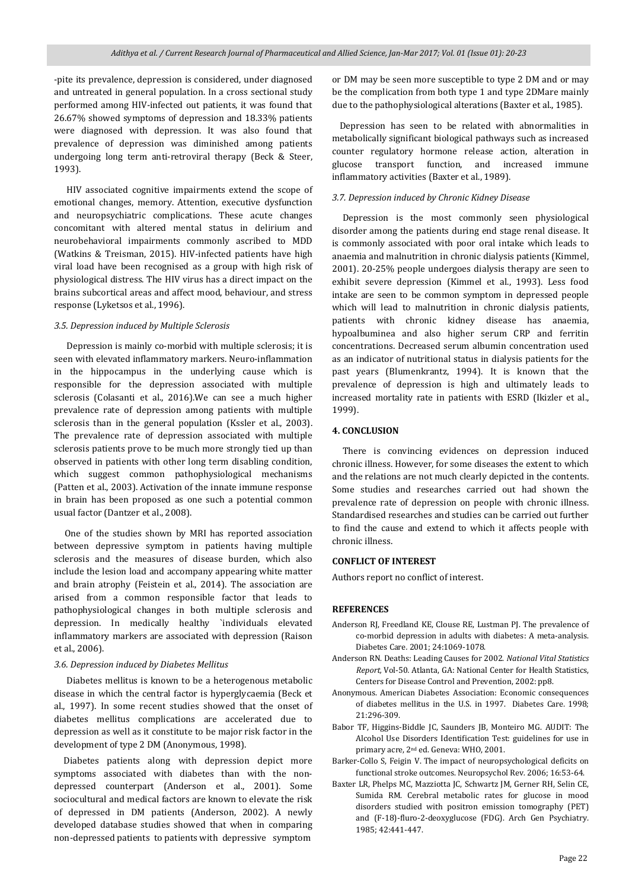-pite its prevalence, depression is considered, under diagnosed and untreated in general population. In a cross sectional study performed among HIV-infected out patients, it was found that 26.67% showed symptoms of depression and 18.33% patients were diagnosed with depression. It was also found that prevalence of depression was diminished among patients undergoing long term anti-retroviral therapy (Beck & Steer, 1993).

 HIV associated cognitive impairments extend the scope of emotional changes, memory. Attention, executive dysfunction and neuropsychiatric complications. These acute changes concomitant with altered mental status in delirium and neurobehavioral impairments commonly ascribed to MDD (Watkins & Treisman, 2015). HIV-infected patients have high viral load have been recognised as a group with high risk of physiological distress. The HIV virus has a direct impact on the brains subcortical areas and affect mood, behaviour, and stress response (Lyketsos et al., 1996).

#### *3.5. Depression induced by Multiple Sclerosis*

 Depression is mainly co-morbid with multiple sclerosis; it is seen with elevated inflammatory markers. Neuro-inflammation in the hippocampus in the underlying cause which is responsible for the depression associated with multiple sclerosis (Colasanti et al., 2016).We can see a much higher prevalence rate of depression among patients with multiple sclerosis than in the general population (Kssler et al., 2003). The prevalence rate of depression associated with multiple sclerosis patients prove to be much more strongly tied up than observed in patients with other long term disabling condition, which suggest common pathophysiological mechanisms (Patten et al., 2003). Activation of the innate immune response in brain has been proposed as one such a potential common usual factor (Dantzer et al., 2008).

 One of the studies shown by MRI has reported association between depressive symptom in patients having multiple sclerosis and the measures of disease burden, which also include the lesion load and accompany appearing white matter and brain atrophy (Feistein et al., 2014). The association are arised from a common responsible factor that leads to pathophysiological changes in both multiple sclerosis and depression. In medically healthy `individuals elevated inflammatory markers are associated with depression (Raison et al., 2006).

#### *3.6. Depression induced by Diabetes Mellitus*

 Diabetes mellitus is known to be a heterogenous metabolic disease in which the central factor is hyperglycaemia (Beck et al., 1997). In some recent studies showed that the onset of diabetes mellitus complications are accelerated due to depression as well as it constitute to be major risk factor in the development of type 2 DM (Anonymous, 1998).

Diabetes patients along with depression depict more symptoms associated with diabetes than with the nondepressed counterpart (Anderson et al., 2001). Some sociocultural and medical factors are known to elevate the risk of depressed in DM patients (Anderson, 2002). A newly developed database studies showed that when in comparing non-depressed patients to patients with depressive symptom

or DM may be seen more susceptible to type 2 DM and or may be the complication from both type 1 and type 2DMare mainly due to the pathophysiological alterations (Baxter et al., 1985).

Depression has seen to be related with abnormalities in metabolically significant biological pathways such as increased counter regulatory hormone release action, alteration in glucose transport function, and increased immune inflammatory activities (Baxter et al., 1989).

#### *3.7. Depression induced by Chronic Kidney Disease*

 Depression is the most commonly seen physiological disorder among the patients during end stage renal disease. It is commonly associated with poor oral intake which leads to anaemia and malnutrition in chronic dialysis patients (Kimmel, 2001). 20-25% people undergoes dialysis therapy are seen to exhibit severe depression (Kimmel et al., 1993). Less food intake are seen to be common symptom in depressed people which will lead to malnutrition in chronic dialysis patients, patients with chronic kidney disease has anaemia, hypoalbuminea and also higher serum CRP and ferritin concentrations. Decreased serum albumin concentration used as an indicator of nutritional status in dialysis patients for the past years (Blumenkrantz, 1994). It is known that the prevalence of depression is high and ultimately leads to increased mortality rate in patients with ESRD (Ikizler et al., 1999).

#### **4. CONCLUSION**

 There is convincing evidences on depression induced chronic illness. However, for some diseases the extent to which and the relations are not much clearly depicted in the contents. Some studies and researches carried out had shown the prevalence rate of depression on people with chronic illness. Standardised researches and studies can be carried out further to find the cause and extend to which it affects people with chronic illness.

### **CONFLICT OF INTEREST**

Authors report no conflict of interest.

#### **REFERENCES**

- Anderson RJ, Freedland KE, Clouse RE, Lustman PJ. The prevalence of co-morbid depression in adults with diabetes: A meta-analysis. Diabetes Care*.* 2001; 24:1069-1078.
- Anderson RN. Deaths: Leading Causes for 2002. *National Vital Statistics Report,* Vol-50*.* Atlanta, GA: National Center for Health Statistics, Centers for Disease Control and Prevention, 2002: pp8.
- Anonymous. American Diabetes Association: Economic consequences of diabetes mellitus in the U.S. in 1997. Diabetes Care*.* 1998; 21:296-309.
- Babor TF, Higgins-Biddle JC, Saunders JB, Monteiro MG. AUDIT: The Alcohol Use Disorders Identification Test: guidelines for use in primary acre, 2nd ed. Geneva: WHO, 2001.
- Barker-Collo S, Feigin V. The impact of neuropsychological deficits on functional stroke outcomes. Neuropsychol Rev*.* 2006; 16:53-64.
- Baxter LR, Phelps MC, Mazziotta JC, Schwartz JM, Gerner RH, Selin CE, Sumida RM. Cerebral metabolic rates for glucose in mood disorders studied with positron emission tomography (PET) and (F-18)-fluro-2-deoxyglucose (FDG). Arch Gen Psychiatry*.*  1985; 42:441-447.